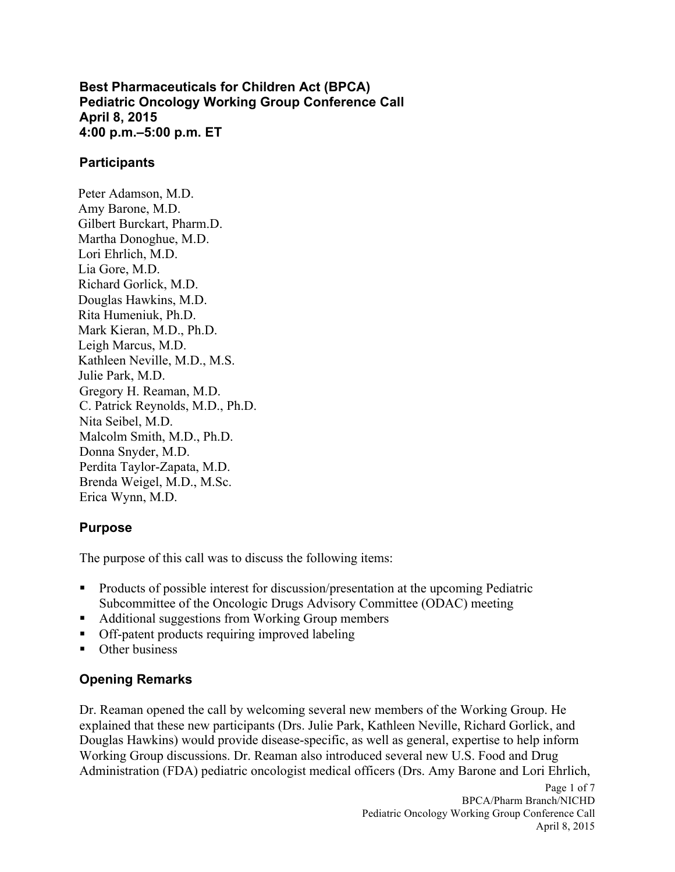**Best Pharmaceuticals for Children Act (BPCA) Pediatric Oncology Working Group Conference Call April 8, 2015 4:00 p.m.–5:00 p.m. ET** 

#### **Participants**

 Mark Kieran, M.D., Ph.D. Peter Adamson, M.D. Amy Barone, M.D. Gilbert Burckart, Pharm.D. Martha Donoghue, M.D. Lori Ehrlich, M.D. Lia Gore, M.D. Richard Gorlick, M.D. Douglas Hawkins, M.D. Rita Humeniuk, Ph.D. Leigh Marcus, M.D. Kathleen Neville, M.D., M.S. Julie Park, M.D. Gregory H. Reaman, M.D. C. Patrick Reynolds, M.D., Ph.D. Nita Seibel, M.D. Malcolm Smith, M.D., Ph.D. Donna Snyder, M.D. Perdita Taylor-Zapata, M.D. Brenda Weigel, M.D., M.Sc. Erica Wynn, M.D.

### **Purpose**

The purpose of this call was to discuss the following items:

- **Products of possible interest for discussion/presentation at the upcoming Pediatric** Subcommittee of the Oncologic Drugs Advisory Committee (ODAC) meeting
- Additional suggestions from Working Group members
- Off-patent products requiring improved labeling
- Other business

### **Opening Remarks**

 Dr. Reaman opened the call by welcoming several new members of the Working Group. He explained that these new participants (Drs. Julie Park, Kathleen Neville, Richard Gorlick, and Administration (FDA) pediatric oncologist medical officers (Drs. Amy Barone and Lori Ehrlich, Douglas Hawkins) would provide disease-specific, as well as general, expertise to help inform Working Group discussions. Dr. Reaman also introduced several new U.S. Food and Drug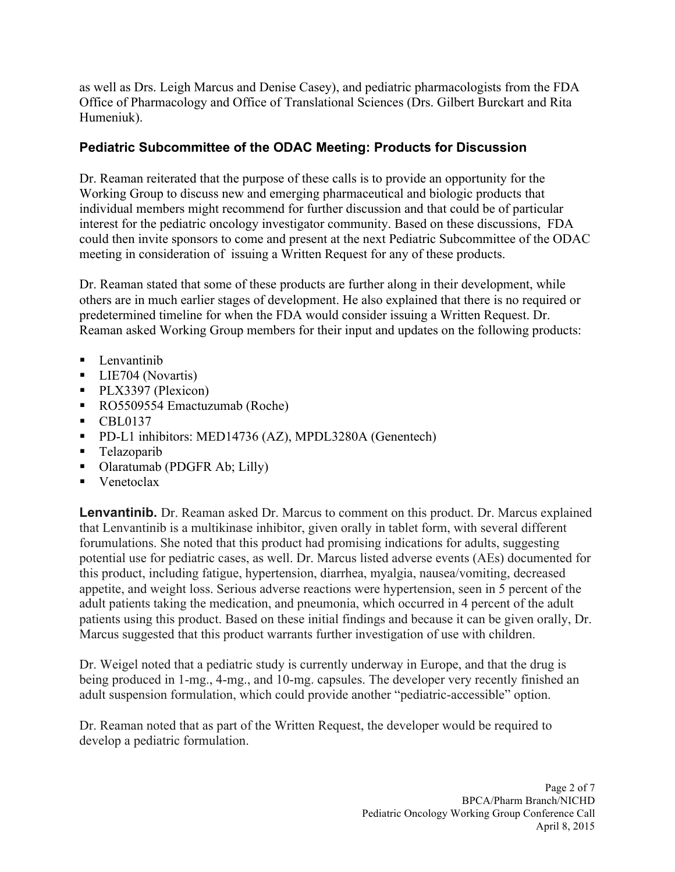as well as Drs. Leigh Marcus and Denise Casey), and pediatric pharmacologists from the FDA Office of Pharmacology and Office of Translational Sciences (Drs. Gilbert Burckart and Rita Humeniuk).

## **Pediatric Subcommittee of the ODAC Meeting: Products for Discussion**

 Dr. Reaman reiterated that the purpose of these calls is to provide an opportunity for the Working Group to discuss new and emerging pharmaceutical and biologic products that individual members might recommend for further discussion and that could be of particular interest for the pediatric oncology investigator community. Based on these discussions, FDA meeting in consideration of issuing a Written Request for any of these products. could then invite sponsors to come and present at the next Pediatric Subcommittee of the ODAC

Dr. Reaman stated that some of these products are further along in their development, while others are in much earlier stages of development. He also explained that there is no required or predetermined timeline for when the FDA would consider issuing a Written Request. Dr. Reaman asked Working Group members for their input and updates on the following products:

- $\blacksquare$  Lenvantinib
- **LIE704** (Novartis)
- PLX3397 (Plexicon)
- RO5509554 Emactuzumab (Roche)
- $\blacksquare$  CBL0137
- **PD-L1** inhibitors: MED14736 (AZ), MPDL3280A (Genentech)
- Telazoparib
- Olaratumab (PDGFR Ab; Lilly)
- Venetoclax

 forumulations. She noted that this product had promising indications for adults, suggesting potential use for pediatric cases, as well. Dr. Marcus listed adverse events (AEs) documented for appetite, and weight loss. Serious adverse reactions were hypertension, seen in 5 percent of the Marcus suggested that this product warrants further investigation of use with children. **Lenvantinib.** Dr. Reaman asked Dr. Marcus to comment on this product. Dr. Marcus explained that Lenvantinib is a multikinase inhibitor, given orally in tablet form, with several different this product, including fatigue, hypertension, diarrhea, myalgia, nausea/vomiting, decreased adult patients taking the medication, and pneumonia, which occurred in 4 percent of the adult patients using this product. Based on these initial findings and because it can be given orally, Dr.

 Dr. Weigel noted that a pediatric study is currently underway in Europe, and that the drug is being produced in 1-mg., 4-mg., and 10-mg. capsules. The developer very recently finished an adult suspension formulation, which could provide another "pediatric-accessible" option.

 develop a pediatric formulation. Dr. Reaman noted that as part of the Written Request, the developer would be required to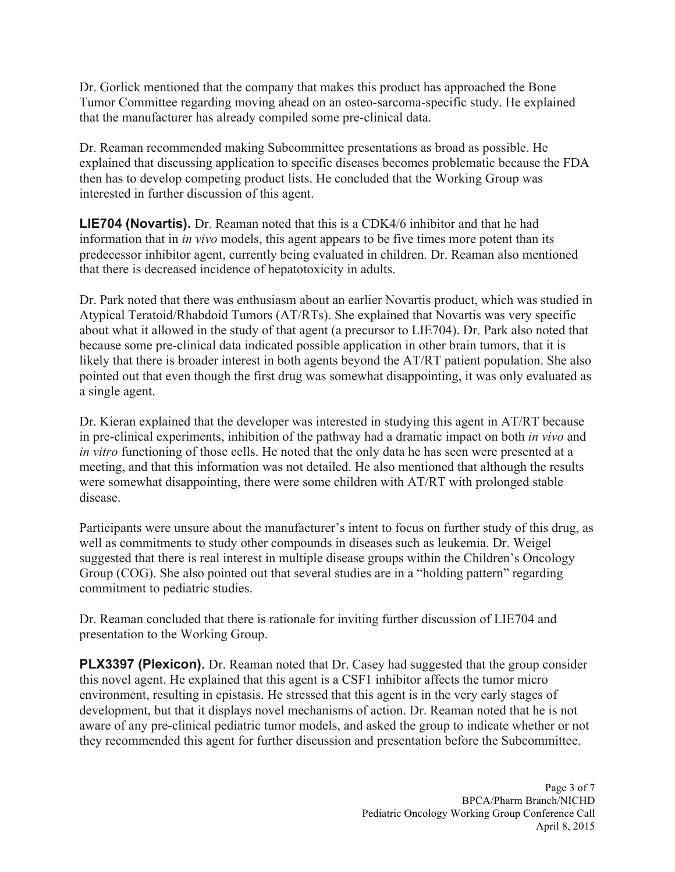Dr. Gorlick mentioned that the company that makes this product has approached the Bone Tumor Committee regarding moving ahead on an osteo-sarcoma-specific study. He explained that the manufacturer has already compiled some pre-clinical data.

 explained that discussing application to specific diseases becomes problematic because the FDA interested in further discussion of this agent. Dr. Reaman recommended making Subcommittee presentations as broad as possible. He then has to develop competing product lists. He concluded that the Working Group was

 **LIE704 (Novartis).** Dr. Reaman noted that this is a CDK4/6 inhibitor and that he had information that in *in vivo* models, this agent appears to be five times more potent than its that there is decreased incidence of hepatotoxicity in adults. predecessor inhibitor agent, currently being evaluated in children. Dr. Reaman also mentioned

 about what it allowed in the study of that agent (a precursor to LIE704). Dr. Park also noted that likely that there is broader interest in both agents beyond the AT/RT patient population. She also a single agent. Dr. Park noted that there was enthusiasm about an earlier Novartis product, which was studied in Atypical Teratoid/Rhabdoid Tumors (AT/RTs). She explained that Novartis was very specific because some pre-clinical data indicated possible application in other brain tumors, that it is pointed out that even though the first drug was somewhat disappointing, it was only evaluated as

a single agent.<br>Dr. Kieran explained that the developer was interested in studying this agent in AT/RT because in pre-clinical experiments, inhibition of the pathway had a dramatic impact on both *in vivo* and *in vitro* functioning of those cells. He noted that the only data he has seen were presented at a meeting, and that this information was not detailed. He also mentioned that although the results were somewhat disappointing, there were some children with AT/RT with prolonged stable disease.

 well as commitments to study other compounds in diseases such as leukemia. Dr. Weigel Participants were unsure about the manufacturer's intent to focus on further study of this drug, as suggested that there is real interest in multiple disease groups within the Children's Oncology Group (COG). She also pointed out that several studies are in a "holding pattern" regarding commitment to pediatric studies.

 Dr. Reaman concluded that there is rationale for inviting further discussion of LIE704 and presentation to the Working Group.

 this novel agent. He explained that this agent is a CSF1 inhibitor affects the tumor micro **PLX3397 (Plexicon).** Dr. Reaman noted that Dr. Casey had suggested that the group consider environment, resulting in epistasis. He stressed that this agent is in the very early stages of development, but that it displays novel mechanisms of action. Dr. Reaman noted that he is not aware of any pre-clinical pediatric tumor models, and asked the group to indicate whether or not they recommended this agent for further discussion and presentation before the Subcommittee.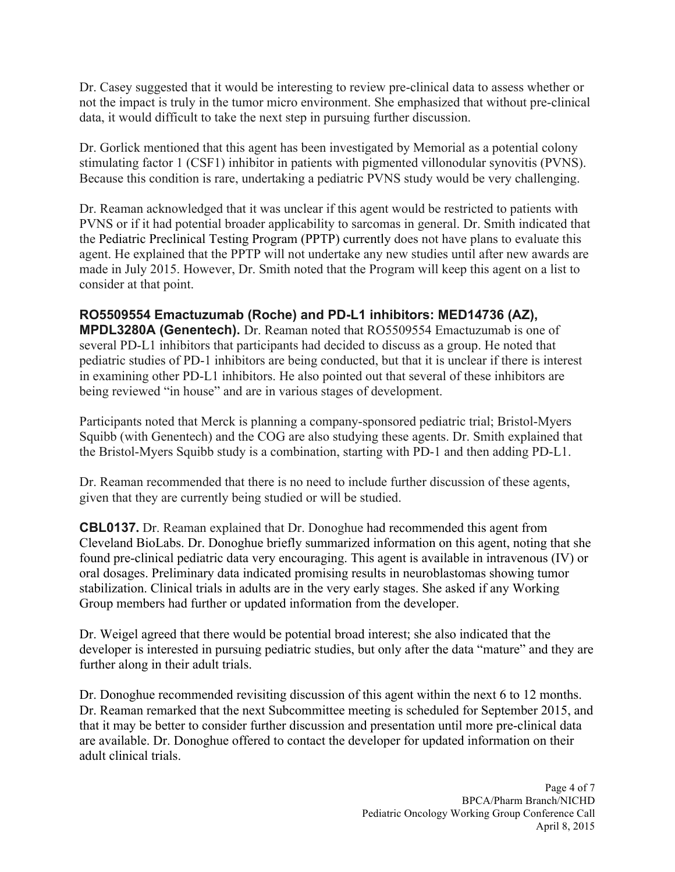Dr. Casey suggested that it would be interesting to review pre-clinical data to assess whether or data, it would difficult to take the next step in pursuing further discussion. not the impact is truly in the tumor micro environment. She emphasized that without pre-clinical

data, it would difficult to take the next step in pursuing further discussion.<br>Dr. Gorlick mentioned that this agent has been investigated by Memorial as a potential colony stimulating factor 1 (CSF1) inhibitor in patients with pigmented villonodular synovitis (PVNS). Because this condition is rare, undertaking a pediatric PVNS study would be very challenging.

 made in July 2015. However, Dr. Smith noted that the Program will keep this agent on a list to consider at that point. Dr. Reaman acknowledged that it was unclear if this agent would be restricted to patients with PVNS or if it had potential broader applicability to sarcomas in general. Dr. Smith indicated that the Pediatric Preclinical Testing Program (PPTP) currently does not have plans to evaluate this agent. He explained that the PPTP will not undertake any new studies until after new awards are

### **RO5509554 Emactuzumab (Roche) and PD-L1 inhibitors: MED14736 (AZ),**

 several PD-L1 inhibitors that participants had decided to discuss as a group. He noted that pediatric studies of PD-1 inhibitors are being conducted, but that it is unclear if there is interest **MPDL3280A (Genentech).** Dr. Reaman noted that RO5509554 Emactuzumab is one of in examining other PD-L1 inhibitors. He also pointed out that several of these inhibitors are being reviewed "in house" and are in various stages of development.

 Squibb (with Genentech) and the COG are also studying these agents. Dr. Smith explained that the Bristol-Myers Squibb study is a combination, starting with PD-1 and then adding PD-L1. Participants noted that Merck is planning a company-sponsored pediatric trial; Bristol-Myers

 given that they are currently being studied or will be studied. Dr. Reaman recommended that there is no need to include further discussion of these agents,

 found pre-clinical pediatric data very encouraging. This agent is available in intravenous (IV) or **CBL0137.** Dr. Reaman explained that Dr. Donoghue had recommended this agent from Cleveland BioLabs. Dr. Donoghue briefly summarized information on this agent, noting that she oral dosages. Preliminary data indicated promising results in neuroblastomas showing tumor stabilization. Clinical trials in adults are in the very early stages. She asked if any Working Group members had further or updated information from the developer.

 Dr. Weigel agreed that there would be potential broad interest; she also indicated that the developer is interested in pursuing pediatric studies, but only after the data "mature" and they are further along in their adult trials.

Dr. Donoghue recommended revisiting discussion of this agent within the next 6 to 12 months. Dr. Reaman remarked that the next Subcommittee meeting is scheduled for September 2015, and that it may be better to consider further discussion and presentation until more pre-clinical data are available. Dr. Donoghue offered to contact the developer for updated information on their adult clinical trials.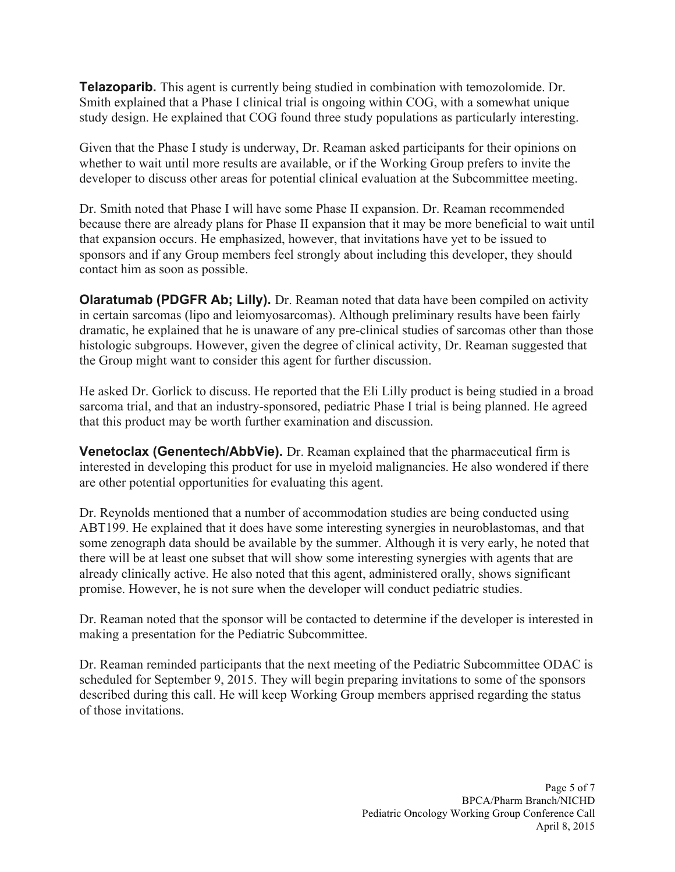**Telazoparib.** This agent is currently being studied in combination with temozolomide. Dr. Smith explained that a Phase I clinical trial is ongoing within COG, with a somewhat unique study design. He explained that COG found three study populations as particularly interesting.

 whether to wait until more results are available, or if the Working Group prefers to invite the Given that the Phase I study is underway, Dr. Reaman asked participants for their opinions on developer to discuss other areas for potential clinical evaluation at the Subcommittee meeting.

 because there are already plans for Phase II expansion that it may be more beneficial to wait until Dr. Smith noted that Phase I will have some Phase II expansion. Dr. Reaman recommended that expansion occurs. He emphasized, however, that invitations have yet to be issued to sponsors and if any Group members feel strongly about including this developer, they should contact him as soon as possible.

**Olaratumab (PDGFR Ab; Lilly).** Dr. Reaman noted that data have been compiled on activity histologic subgroups. However, given the degree of clinical activity, Dr. Reaman suggested that in certain sarcomas (lipo and leiomyosarcomas). Although preliminary results have been fairly dramatic, he explained that he is unaware of any pre-clinical studies of sarcomas other than those the Group might want to consider this agent for further discussion.

He asked Dr. Gorlick to discuss. He reported that the Eli Lilly product is being studied in a broad sarcoma trial, and that an industry-sponsored, pediatric Phase I trial is being planned. He agreed that this product may be worth further examination and discussion.

 **Venetoclax (Genentech/AbbVie).** Dr. Reaman explained that the pharmaceutical firm is interested in developing this product for use in myeloid malignancies. He also wondered if there are other potential opportunities for evaluating this agent.

Dr. Reynolds mentioned that a number of accommodation studies are being conducted using ABT199. He explained that it does have some interesting synergies in neuroblastomas, and that some zenograph data should be available by the summer. Although it is very early, he noted that there will be at least one subset that will show some interesting synergies with agents that are already clinically active. He also noted that this agent, administered orally, shows significant promise. However, he is not sure when the developer will conduct pediatric studies.

Dr. Reaman noted that the sponsor will be contacted to determine if the developer is interested in making a presentation for the Pediatric Subcommittee.

Dr. Reaman reminded participants that the next meeting of the Pediatric Subcommittee ODAC is scheduled for September 9, 2015. They will begin preparing invitations to some of the sponsors described during this call. He will keep Working Group members apprised regarding the status of those invitations.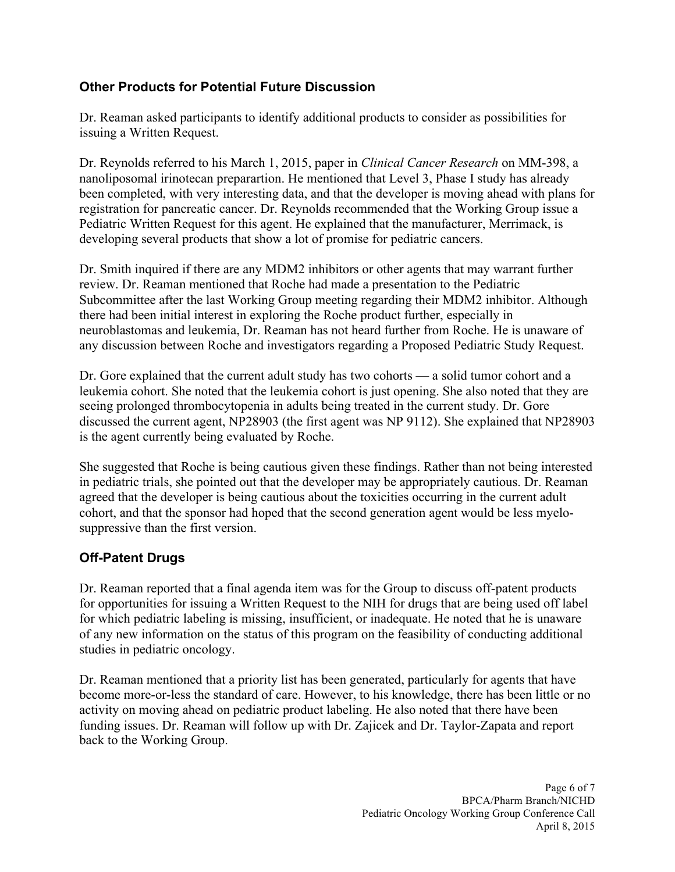### **Other Products for Potential Future Discussion**

Dr. Reaman asked participants to identify additional products to consider as possibilities for issuing a Written Request.

 Dr. Reynolds referred to his March 1, 2015, paper in *Clinical Cancer Research* on MM-398, a Pediatric Written Request for this agent. He explained that the manufacturer, Merrimack, is nanoliposomal irinotecan preparartion. He mentioned that Level 3, Phase I study has already been completed, with very interesting data, and that the developer is moving ahead with plans for registration for pancreatic cancer. Dr. Reynolds recommended that the Working Group issue a developing several products that show a lot of promise for pediatric cancers.

 neuroblastomas and leukemia, Dr. Reaman has not heard further from Roche. He is unaware of any discussion between Roche and investigators regarding a Proposed Pediatric Study Request. Dr. Smith inquired if there are any MDM2 inhibitors or other agents that may warrant further review. Dr. Reaman mentioned that Roche had made a presentation to the Pediatric Subcommittee after the last Working Group meeting regarding their MDM2 inhibitor. Although there had been initial interest in exploring the Roche product further, especially in

 Dr. Gore explained that the current adult study has two cohorts — a solid tumor cohort and a leukemia cohort. She noted that the leukemia cohort is just opening. She also noted that they are seeing prolonged thrombocytopenia in adults being treated in the current study. Dr. Gore discussed the current agent, NP28903 (the first agent was NP 9112). She explained that NP28903 is the agent currently being evaluated by Roche.

 She suggested that Roche is being cautious given these findings. Rather than not being interested in pediatric trials, she pointed out that the developer may be appropriately cautious. Dr. Reaman agreed that the developer is being cautious about the toxicities occurring in the current adult cohort, and that the sponsor had hoped that the second generation agent would be less myelosuppressive than the first version.

# **Off-Patent Drugs**

 of any new information on the status of this program on the feasibility of conducting additional studies in pediatric oncology. Dr. Reaman reported that a final agenda item was for the Group to discuss off-patent products for opportunities for issuing a Written Request to the NIH for drugs that are being used off label for which pediatric labeling is missing, insufficient, or inadequate. He noted that he is unaware

 activity on moving ahead on pediatric product labeling. He also noted that there have been funding issues. Dr. Reaman will follow up with Dr. Zajicek and Dr. Taylor-Zapata and report Dr. Reaman mentioned that a priority list has been generated, particularly for agents that have become more-or-less the standard of care. However, to his knowledge, there has been little or no back to the Working Group.